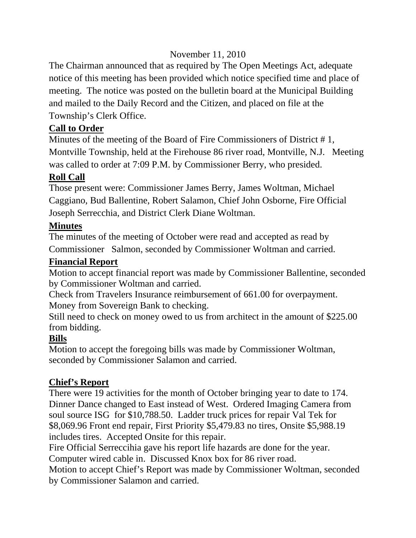# November 11, 2010

The Chairman announced that as required by The Open Meetings Act, adequate notice of this meeting has been provided which notice specified time and place of meeting. The notice was posted on the bulletin board at the Municipal Building and mailed to the Daily Record and the Citizen, and placed on file at the Township's Clerk Office.

# **Call to Order**

Minutes of the meeting of the Board of Fire Commissioners of District # 1, Montville Township, held at the Firehouse 86 river road, Montville, N.J. Meeting was called to order at 7:09 P.M. by Commissioner Berry, who presided.

## **Roll Call**

Those present were: Commissioner James Berry, James Woltman, Michael Caggiano, Bud Ballentine, Robert Salamon, Chief John Osborne, Fire Official Joseph Serrecchia, and District Clerk Diane Woltman.

## **Minutes**

The minutes of the meeting of October were read and accepted as read by Commissioner Salmon, seconded by Commissioner Woltman and carried.

### **Financial Report**

Motion to accept financial report was made by Commissioner Ballentine, seconded by Commissioner Woltman and carried.

Check from Travelers Insurance reimbursement of 661.00 for overpayment. Money from Sovereign Bank to checking.

Still need to check on money owed to us from architect in the amount of \$225.00 from bidding.

## **Bills**

Motion to accept the foregoing bills was made by Commissioner Woltman, seconded by Commissioner Salamon and carried.

## **Chief's Report**

There were 19 activities for the month of October bringing year to date to 174. Dinner Dance changed to East instead of West. Ordered Imaging Camera from soul source ISG for \$10,788.50. Ladder truck prices for repair Val Tek for \$8,069.96 Front end repair, First Priority \$5,479.83 no tires, Onsite \$5,988.19 includes tires. Accepted Onsite for this repair.

Fire Official Serreccihia gave his report life hazards are done for the year. Computer wired cable in. Discussed Knox box for 86 river road.

Motion to accept Chief's Report was made by Commissioner Woltman, seconded by Commissioner Salamon and carried.